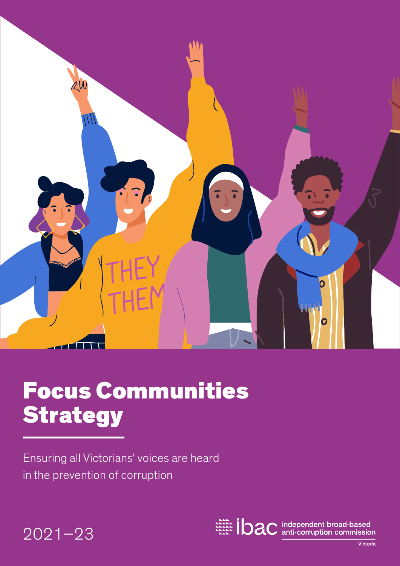

# Focus Communities **Strategy**

Ensuring all Victorians' voices are heard in the prevention of corruption



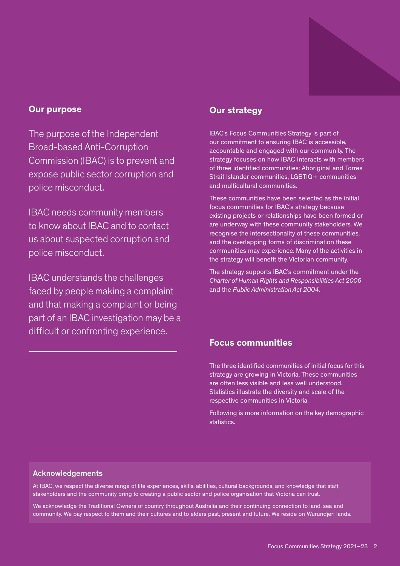

#### Our purpose

The purpose of the Independent Broad-based Anti-Corruption Commission (IBAC) is to prevent and expose public sector corruption and police misconduct.

IBAC needs community members to know about IBAC and to contact us about suspected corruption and police misconduct.

IBAC understands the challenges faced by people making a complaint and that making a complaint or being part of an IBAC investigation may be a difficult or confronting experience.

#### Our strategy

IBAC's Focus Communities Strategy is part of our commitment to ensuring IBAC is accessible, accountable and engaged with our community. The strategy focuses on how IBAC interacts with members of three identified communities: Aboriginal and Torres Strait Islander communities, LGBTIQ+ communities and multicultural communities.

These communities have been selected as the initial focus communities for IBAC's strategy because existing projects or relationships have been formed or are underway with these community stakeholders. We recognise the intersectionality of these communities, and the overlapping forms of discrimination these communities may experience. Many of the activities in the strategy will benefit the Victorian community.

The strategy supports IBAC's commitment under the *Charter of Human Rights and Responsibilities Act 2006* and the *Public Administration Act 2004*.

#### Focus communities

The three identified communities of initial focus for this strategy are growing in Victoria. These communities are often less visible and less well understood. Statistics illustrate the diversity and scale of the respective communities in Victoria.

Following is more information on the key demographic statistics.

#### Acknowledgements

At IBAC, we respect the diverse range of life experiences, skills, abilities, cultural backgrounds, and knowledge that staff, stakeholders and the community bring to creating a public sector and police organisation that Victoria can trust.

We acknowledge the Traditional Owners of country throughout Australia and their continuing connection to land, sea and community. We pay respect to them and their cultures and to elders past, present and future. We reside on Wurundjeri lands.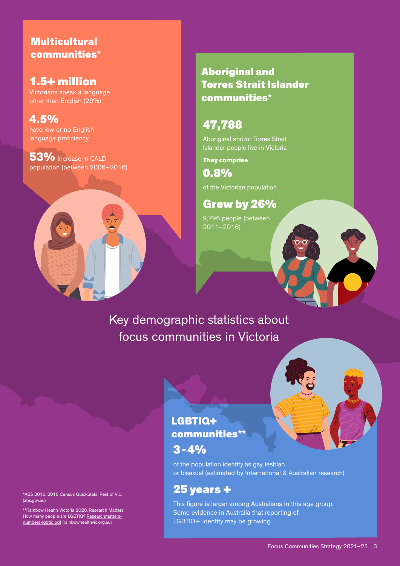### **Multicultural** communities\*

### 1.5+ million

Victorians speak a language other than English (26%)

4.5% have low or no English language proficiency

53% increase in CALD population (between 2006–2016)

### Aboriginal and Torres Strait Islander communities\*

### 47,788

Aboriginal and/or Torres Strait Islander people live in Victoria

They comprise

0.8%

of the Victorian population

Grew by 26% 9,796 people (between 2011–2016)

# Key demographic statistics about focus communities in Victoria



### LGBTIQ+ communities\*\*

### $3 - 4%$

of the population identify as gay, lesbian or bisexual (estimated by International & Australian research)

### 25 years +

This figure is larger among Australians in this age group. Some evidence in Australia that reporting of LGBTIQ+ identity may be growing.

\*ABS 2016. 2016 Census QuickStats: Rest of Vic. (abs.gov.au)

\*\*Rainbow Health Victoria 2020. Research Matters: How many people are LGBTIQ? [Researchmatters](https://www.rainbowhealthvic.org.au/media/pages/research-resources/research-matters-how-many-people-are-lgbtiq/4170611962-1612761890/researchmatters-numbers-lgbtiq.pdf)[numbers-lgbtiq.pdf](https://www.rainbowhealthvic.org.au/media/pages/research-resources/research-matters-how-many-people-are-lgbtiq/4170611962-1612761890/researchmatters-numbers-lgbtiq.pdf) (rainbowhealthvic.org.au)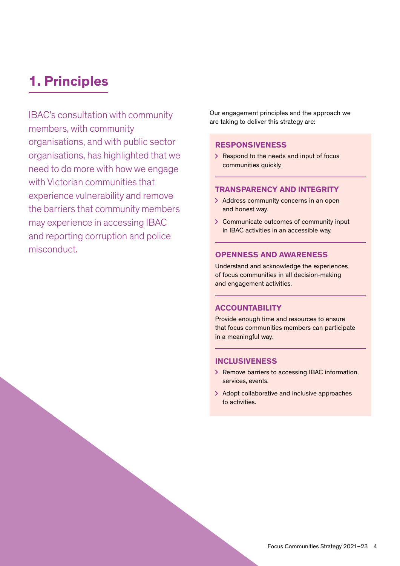# 1. Principles

IBAC's consultation with community members, with community organisations, and with public sector organisations, has highlighted that we need to do more with how we engage with Victorian communities that experience vulnerability and remove the barriers that community members may experience in accessing IBAC and reporting corruption and police misconduct.

Our engagement principles and the approach we are taking to deliver this strategy are:

#### RESPONSIVENESS

> Respond to the needs and input of focus communities quickly.

#### TRANSPARENCY AND INTEGRITY

- > Address community concerns in an open and honest way.
- > Communicate outcomes of community input in IBAC activities in an accessible way.

#### OPENNESS AND AWARENESS

Understand and acknowledge the experiences of focus communities in all decision-making and engagement activities.

#### ACCOUNTABILITY

Provide enough time and resources to ensure that focus communities members can participate in a meaningful way.

#### **INCLUSIVENESS**

- > Remove barriers to accessing IBAC information, services, events.
- > Adopt collaborative and inclusive approaches to activities.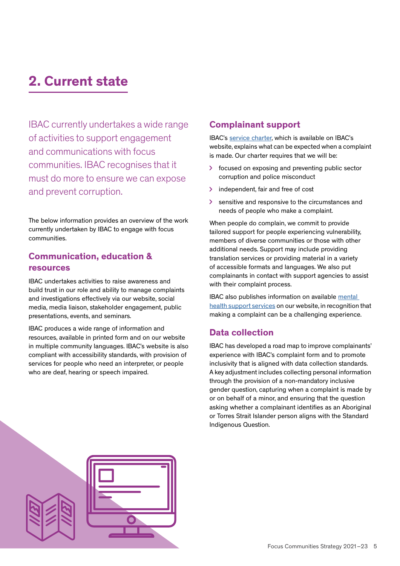# 2. Current state

IBAC currently undertakes a wide range of activities to support engagement and communications with focus communities. IBAC recognises that it must do more to ensure we can expose and prevent corruption.

The below information provides an overview of the work currently undertaken by IBAC to engage with focus communities.

#### Communication, education & resources

IBAC undertakes activities to raise awareness and build trust in our role and ability to manage complaints and investigations effectively via our website, social media, media liaison, stakeholder engagement, public presentations, events, and seminars.

IBAC produces a wide range of information and resources, available in printed form and on our website in multiple community languages. IBAC's website is also compliant with accessibility standards, with provision of services for people who need an interpreter, or people who are deaf, hearing or speech impaired.

#### Complainant support

IBAC's [service charter](https://www.ibac.vic.gov.au/reporting-corruption/our-service-charter), which is available on IBAC's website, explains what can be expected when a complaint is made. Our charter requires that we will be:

- $\geq$  focused on exposing and preventing public sector corruption and police misconduct
- > independent, fair and free of cost
- $\geq$  sensitive and responsive to the circumstances and needs of people who make a complaint.

When people do complain, we commit to provide tailored support for people experiencing vulnerability, members of diverse communities or those with other additional needs. Support may include providing translation services or providing material in a variety of accessible formats and languages. We also put complainants in contact with support agencies to assist with their complaint process.

IBAC also publishes information on available mental [health support services](https://www.ibac.vic.gov.au/reporting-corruption/what-happens-to-your-complaint/mental-health-support) on our website, in recognition that making a complaint can be a challenging experience.

#### Data collection

IBAC has developed a road map to improve complainants' experience with IBAC's complaint form and to promote inclusivity that is aligned with data collection standards. A key adjustment includes collecting personal information through the provision of a non-mandatory inclusive gender question, capturing when a complaint is made by or on behalf of a minor, and ensuring that the question asking whether a complainant identifies as an Aboriginal or Torres Strait Islander person aligns with the Standard Indigenous Question.



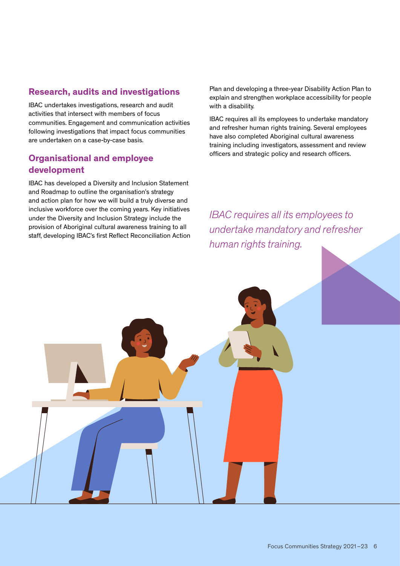#### Research, audits and investigations

IBAC undertakes investigations, research and audit activities that intersect with members of focus communities. Engagement and communication activities following investigations that impact focus communities are undertaken on a case-by-case basis.

#### Organisational and employee development

IBAC has developed a Diversity and Inclusion Statement and Roadmap to outline the organisation's strategy and action plan for how we will build a truly diverse and inclusive workforce over the coming years. Key initiatives under the Diversity and Inclusion Strategy include the provision of Aboriginal cultural awareness training to all staff, developing IBAC's first Reflect Reconciliation Action Plan and developing a three-year Disability Action Plan to explain and strengthen workplace accessibility for people with a disability.

IBAC requires all its employees to undertake mandatory and refresher human rights training. Several employees have also completed Aboriginal cultural awareness training including investigators, assessment and review officers and strategic policy and research officers.

*IBAC requires all its employees to undertake mandatory and refresher human rights training.*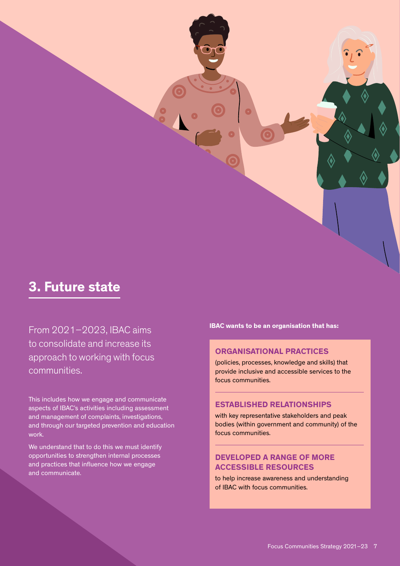

From 2021–2023, IBAC aims to consolidate and increase its approach to working with focus communities.

This includes how we engage and communicate aspects of IBAC's activities including assessment and management of complaints, investigations, and through our targeted prevention and education work.

We understand that to do this we must identify opportunities to strengthen internal processes and practices that influence how we engage and communicate.

IBAC wants to be an organisation that has:

#### ORGANISATIONAL PRACTICES

(policies, processes, knowledge and skills) that provide inclusive and accessible services to the focus communities.

#### ESTABLISHED RELATIONSHIPS

with key representative stakeholders and peak bodies (within government and community) of the focus communities.

#### DEVELOPED A RANGE OF MORE ACCESSIBLE RESOURCES

to help increase awareness and understanding of IBAC with focus communities.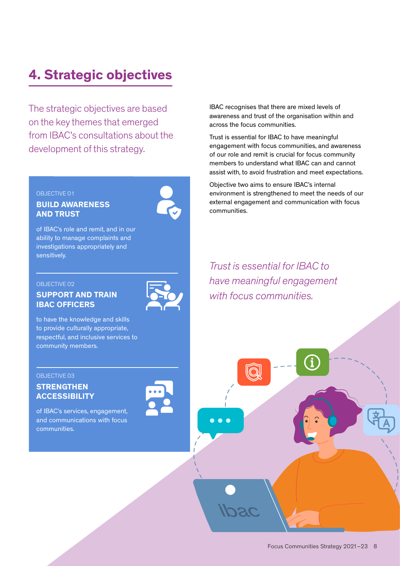# 4. Strategic objectives

The strategic objectives are based on the key themes that emerged from IBAC's consultations about the development of this strategy.

#### OBJECTIVE 01

#### BUILD AWARENESS AND TRUST



of IBAC's role and remit, and in our ability to manage complaints and investigations appropriately and sensitively.

#### OBJECTIVE 02

#### SUPPORT AND TRAIN IBAC OFFICERS

to have the knowledge and skills to provide culturally appropriate, respectful, and inclusive services to community members.

#### OBJECTIVE 03

#### **STRENGTHEN ACCESSIBILITY**

of IBAC's services, engagement, and communications with focus communities.

IBAC recognises that there are mixed levels of awareness and trust of the organisation within and across the focus communities.

Trust is essential for IBAC to have meaningful engagement with focus communities, and awareness of our role and remit is crucial for focus community members to understand what IBAC can and cannot assist with, to avoid frustration and meet expectations.

Objective two aims to ensure IBAC's internal environment is strengthened to meet the needs of our external engagement and communication with focus communities.

*Trust is essential for IBAC to have meaningful engagement with focus communities.*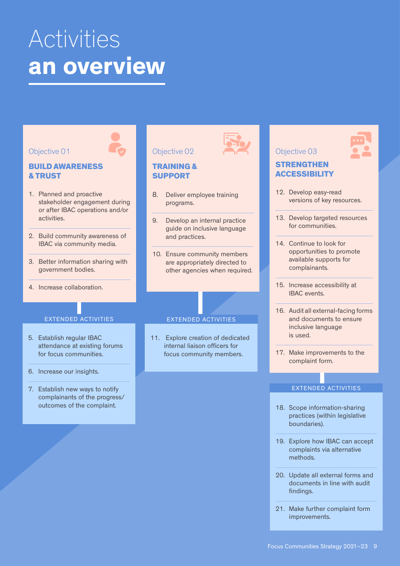# Activities an overview



- 18. Scope information-sharing practices (within legislative boundaries).
- 19. Explore how IBAC can accept complaints via alternative methods.
- 20. Update all external forms and documents in line with audit findings.
- 21. Make further complaint form improvements.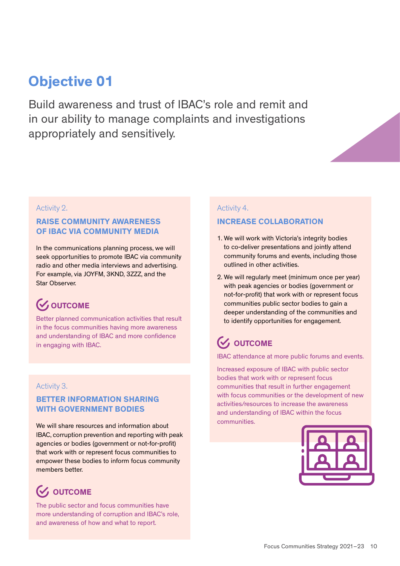# Objective 01

Build awareness and trust of IBAC's role and remit and in our ability to manage complaints and investigations appropriately and sensitively.

#### Activity 2.

#### RAISE COMMUNITY AWARENESS OF IBAC VIA COMMUNITY MEDIA

In the communications planning process, we will seek opportunities to promote IBAC via community radio and other media interviews and advertising. For example, via JOYFM, 3KND, 3ZZZ, and the Star Observer.

### **V** OUTCOME

Better planned communication activities that result in the focus communities having more awareness and understanding of IBAC and more confidence in engaging with IBAC.

#### Activity 3.

#### BETTER INFORMATION SHARING WITH GOVERNMENT BODIES

We will share resources and information about IBAC, corruption prevention and reporting with peak agencies or bodies (government or not-for-profit) that work with or represent focus communities to empower these bodies to inform focus community members better.

### **V** OUTCOME

The public sector and focus communities have more understanding of corruption and IBAC's role, and awareness of how and what to report.

#### Activity 4.

#### INCREASE COLLABORATION

- 1. We will work with Victoria's integrity bodies to co-deliver presentations and jointly attend community forums and events, including those outlined in other activities.
- 2. We will regularly meet (minimum once per year) with peak agencies or bodies (government or not-for-profit) that work with or represent focus communities public sector bodies to gain a deeper understanding of the communities and to identify opportunities for engagement.

### $\mathcal{G}$  OUTCOME

IBAC attendance at more public forums and events.

Increased exposure of IBAC with public sector bodies that work with or represent focus communities that result in further engagement with focus communities or the development of new activities/resources to increase the awareness and understanding of IBAC within the focus communities.

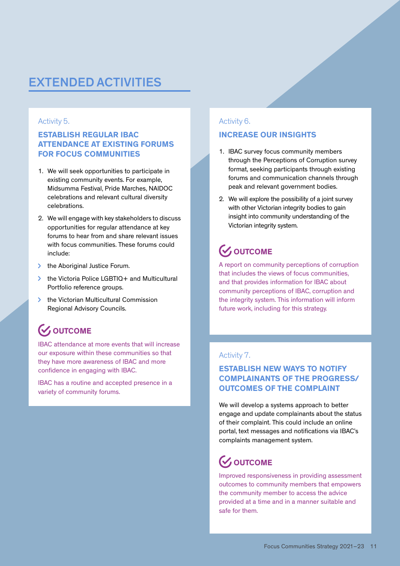### EXTENDED ACTIVITIES

#### Activity 5.

#### ESTABLISH REGULAR IBAC ATTENDANCE AT EXISTING FORUMS FOR FOCUS COMMUNITIES

- 1. We will seek opportunities to participate in existing community events. For example, Midsumma Festival, Pride Marches, NAIDOC celebrations and relevant cultural diversity celebrations.
- 2. We will engage with key stakeholders to discuss opportunities for regular attendance at key forums to hear from and share relevant issues with focus communities. These forums could include:
- $\triangleright$  the Aboriginal Justice Forum.
- **▶ the Victoria Police LGBTIQ+ and Multicultural** Portfolio reference groups.
- > the Victorian Multicultural Commission Regional Advisory Councils.

### **WOUTCOME**

IBAC attendance at more events that will increase our exposure within these communities so that they have more awareness of IBAC and more confidence in engaging with IBAC.

IBAC has a routine and accepted presence in a variety of community forums.

#### Activity 6.

#### INCREASE OUR INSIGHTS

- 1. IBAC survey focus community members through the Perceptions of Corruption survey format, seeking participants through existing forums and communication channels through peak and relevant government bodies.
- 2. We will explore the possibility of a joint survey with other Victorian integrity bodies to gain insight into community understanding of the Victorian integrity system.

# **V** OUTCOME

A report on community perceptions of corruption that includes the views of focus communities, and that provides information for IBAC about community perceptions of IBAC, corruption and the integrity system. This information will inform future work, including for this strategy.

#### Activity 7.

#### ESTABLISH NEW WAYS TO NOTIFY COMPLAINANTS OF THE PROGRESS/ OUTCOMES OF THE COMPLAINT

We will develop a systems approach to better engage and update complainants about the status of their complaint. This could include an online portal, text messages and notifications via IBAC's complaints management system.

### **WOUTCOME**

Improved responsiveness in providing assessment outcomes to community members that empowers the community member to access the advice provided at a time and in a manner suitable and safe for them.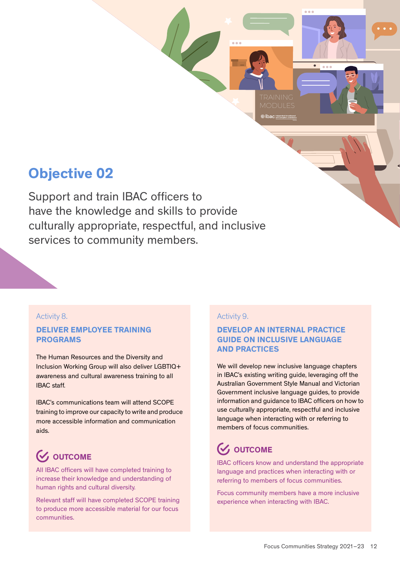# Objective 02

Support and train IBAC officers to have the knowledge and skills to provide culturally appropriate, respectful, and inclusive services to community members.

#### Activity 8.

#### DELIVER EMPLOYEE TRAINING PROGRAMS

The Human Resources and the Diversity and Inclusion Working Group will also deliver LGBTIQ+ awareness and cultural awareness training to all IBAC staff.

IBAC's communications team will attend SCOPE training to improve our capacity to write and produce more accessible information and communication aids.

# **V** OUTCOME

All IBAC officers will have completed training to increase their knowledge and understanding of human rights and cultural diversity.

Relevant staff will have completed SCOPE training to produce more accessible material for our focus communities.

#### Activity 9.

#### DEVELOP AN INTERNAL PRACTICE GUIDE ON INCLUSIVE LANGUAGE AND PRACTICES

ihac <sup>maa</sup>

We will develop new inclusive language chapters in IBAC's existing writing guide, leveraging off the Australian Government Style Manual and Victorian Government inclusive language guides, to provide information and guidance to IBAC officers on how to use culturally appropriate, respectful and inclusive language when interacting with or referring to members of focus communities.

# **V**, OUTCOME

IBAC officers know and understand the appropriate language and practices when interacting with or referring to members of focus communities.

Focus community members have a more inclusive experience when interacting with IBAC.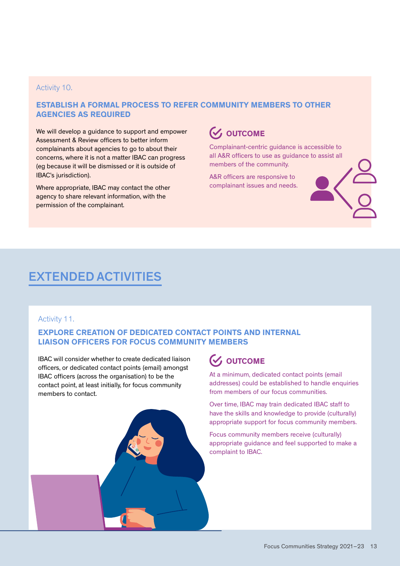#### Activity 10.

#### ESTABLISH A FORMAL PROCESS TO REFER COMMUNITY MEMBERS TO OTHER AGENCIES AS REQUIRED

We will develop a guidance to support and empower Assessment & Review officers to better inform complainants about agencies to go to about their concerns, where it is not a matter IBAC can progress (eg because it will be dismissed or it is outside of IBAC's jurisdiction).

Where appropriate, IBAC may contact the other agency to share relevant information, with the permission of the complainant.

### **V** OUTCOME

Complainant-centric guidance is accessible to all A&R officers to use as guidance to assist all members of the community.

A&R officers are responsive to complainant issues and needs.

### EXTENDED ACTIVITIES

#### Activity 11.

#### EXPLORE CREATION OF DEDICATED CONTACT POINTS AND INTERNAL LIAISON OFFICERS FOR FOCUS COMMUNITY MEMBERS

IBAC will consider whether to create dedicated liaison officers, or dedicated contact points (email) amongst IBAC officers (across the organisation) to be the contact point, at least initially, for focus community members to contact.



At a minimum, dedicated contact points (email addresses) could be established to handle enquiries from members of our focus communities.

Over time, IBAC may train dedicated IBAC staff to have the skills and knowledge to provide (culturally) appropriate support for focus community members.

Focus community members receive (culturally) appropriate guidance and feel supported to make a complaint to IBAC.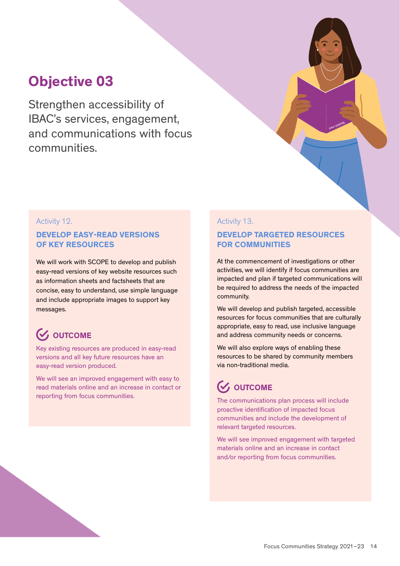# Objective 03

Strengthen accessibility of IBAC's services, engagement, and communications with focus communities.

#### Activity 12.

#### DEVELOP EASY-READ VERSIONS OF KEY RESOURCES

We will work with SCOPE to develop and publish easy-read versions of key website resources such as information sheets and factsheets that are concise, easy to understand, use simple language and include appropriate images to support key messages.

### **W** OUTCOME

Key existing resources are produced in easy-read versions and all key future resources have an easy-read version produced.

We will see an improved engagement with easy to read materials online and an increase in contact or reporting from focus communities.

#### Activity 13.

#### DEVELOP TARGETED RESOURCES FOR COMMUNITIES

At the commencement of investigations or other activities, we will identify if focus communities are impacted and plan if targeted communications will be required to address the needs of the impacted community.

We will develop and publish targeted, accessible resources for focus communities that are culturally appropriate, easy to read, use inclusive language and address community needs or concerns.

We will also explore ways of enabling these resources to be shared by community members via non-traditional media.

### $\mathcal{G}$  OUTCOME

The communications plan process will include proactive identification of impacted focus communities and include the development of relevant targeted resources.

We will see improved engagement with targeted materials online and an increase in contact and/or reporting from focus communities.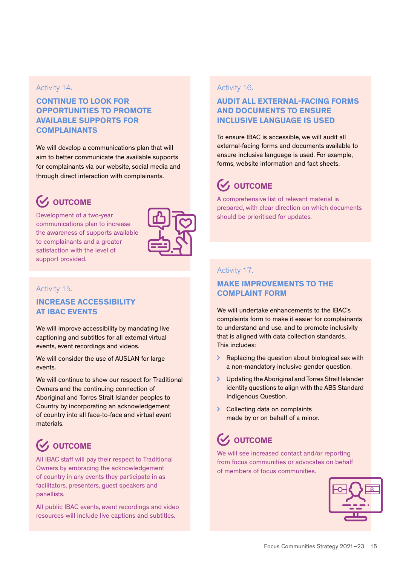#### Activity 14.

#### CONTINUE TO LOOK FOR OPPORTUNITIES TO PROMOTE AVAILABLE SUPPORTS FOR COMPLAINANTS

We will develop a communications plan that will aim to better communicate the available supports for complainants via our website, social media and through direct interaction with complainants.

# **V** OUTCOME

Development of a two-year communications plan to increase the awareness of supports available to complainants and a greater satisfaction with the level of support provided.



#### Activity 15.

#### INCREASE ACCESSIBILITY AT IBAC EVENTS

We will improve accessibility by mandating live captioning and subtitles for all external virtual events, event recordings and videos.

We will consider the use of AUSLAN for large events.

We will continue to show our respect for Traditional Owners and the continuing connection of Aboriginal and Torres Strait Islander peoples to Country by incorporating an acknowledgement of country into all face-to-face and virtual event materials.

# **V** OUTCOME

All IBAC staff will pay their respect to Traditional Owners by embracing the acknowledgement of country in any events they participate in as facilitators, presenters, guest speakers and panellists.

All public IBAC events, event recordings and video resources will include live captions and subtitles.

#### Activity 16.

#### AUDIT ALL EXTERNAL-FACING FORMS AND DOCUMENTS TO ENSURE INCLUSIVE LANGUAGE IS USED

To ensure IBAC is accessible, we will audit all external-facing forms and documents available to ensure inclusive language is used. For example, forms, website information and fact sheets.

# **(V, OUTCOME**

A comprehensive list of relevant material is prepared, with clear direction on which documents should be prioritised for updates.

#### Activity 17.

#### MAKE IMPROVEMENTS TO THE COMPLAINT FORM

We will undertake enhancements to the IBAC's complaints form to make it easier for complainants to understand and use, and to promote inclusivity that is aligned with data collection standards. This includes:

- Replacing the question about biological sex with a non-mandatory inclusive gender question.
- Updating the Aboriginal and Torres Strait Islander identity questions to align with the ABS Standard Indigenous Question.
- > Collecting data on complaints made by or on behalf of a minor.

### $\mathcal G$ , OUTCOME

We will see increased contact and/or reporting from focus communities or advocates on behalf of members of focus communities.

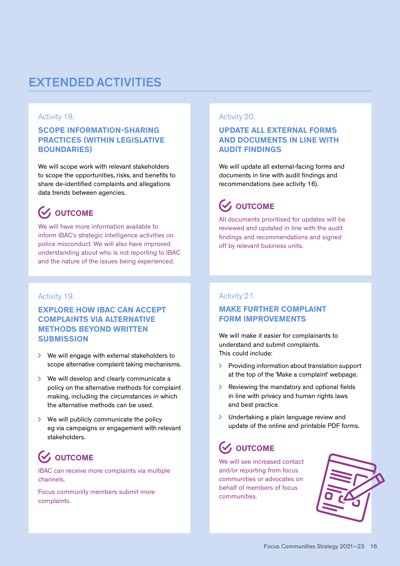### EXTENDED ACTIVITIES

#### Activity 18.

#### SCOPE INFORMATION-SHARING PRACTICES (WITHIN LEGISLATIVE BOUNDARIES)

We will scope work with relevant stakeholders to scope the opportunities, risks, and benefits to share de-identified complaints and allegations data trends between agencies.

### $\mathcal{C}$  OUTCOME

We will have more information available to inform IBAC's strategic intelligence activities on police misconduct. We will also have improved understanding about who is not reporting to IBAC and the nature of the issues being experienced.

#### Activity 19.

#### EXPLORE HOW IBAC CAN ACCEPT COMPLAINTS VIA ALTERNATIVE METHODS BEYOND WRITTEN **SUBMISSION**

- **▶ We will engage with external stakeholders to** scope alternative complaint taking mechanisms.
- We will develop and clearly communicate a policy on the alternative methods for complaint making, including the circumstances in which the alternative methods can be used.
- **We will publicly communicate the policy** eg via campaigns or engagement with relevant stakeholders.

# $\mathcal{C}$  OUTCOME

IBAC can receive more complaints via multiple channels.

Focus community members submit more complaints.

#### Activity 20.

#### UPDATE ALL EXTERNAL FORMS AND DOCUMENTS IN LINE WITH AUDIT FINDINGS

We will update all external-facing forms and documents in line with audit findings and recommendations (see activity 16).

### **V** OUTCOME

All documents prioritised for updates will be reviewed and updated in line with the audit findings and recommendations and signed off by relevant business units.

#### Activity 21.

#### MAKE FURTHER COMPLAINT FORM IMPROVEMENTS

We will make it easier for complainants to understand and submit complaints. This could include:

- **>** Providing information about translation support at the top of the 'Make a complaint' webpage.
- $\sum$ Reviewing the mandatory and optional fields in line with privacy and human rights laws and best practice.
- $\sum$ Undertaking a plain language review and update of the online and printable PDF forms.

### $\mathcal{U}$ , OUTCOME

We will see increased contact and/or reporting from focus communities or advocates on behalf of members of focus communities.

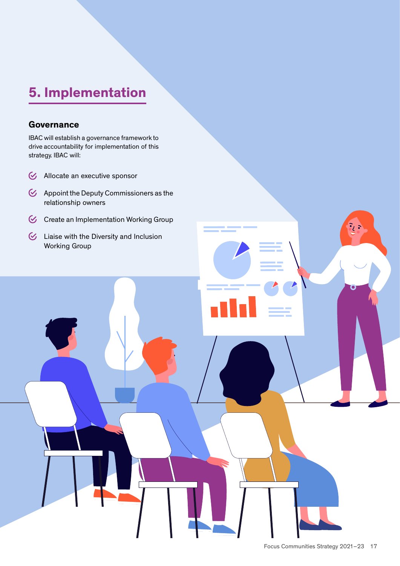# 5. Implementation

#### **Governance**

IBAC will establish a governance framework to drive accountability for implementation of this strategy. IBAC will:

- G Allocate an executive sponsor
- $\&$  Appoint the Deputy Commissioners as the relationship owners
- G Create an Implementation Working Group
- $\bullet$  Liaise with the Diversity and Inclusion Working Group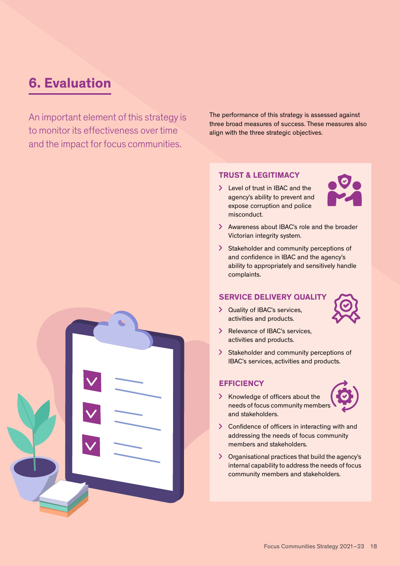# 6. Evaluation

An important element of this strategy is to monitor its effectiveness over time and the impact for focus communities.

The performance of this strategy is assessed against three broad measures of success. These measures also align with the three strategic objectives.

#### TRUST & LEGITIMACY

> Level of trust in IBAC and the agency's ability to prevent and expose corruption and police misconduct.



- > Awareness about IBAC's role and the broader Victorian integrity system.
- Stakeholder and community perceptions of and confidence in IBAC and the agency's ability to appropriately and sensitively handle complaints.

#### SERVICE DELIVERY QUALITY

> Quality of IBAC's services, activities and products.



- > Relevance of IBAC's services, activities and products.
- Stakeholder and community perceptions of IBAC's services, activities and products.

#### **EFFICIENCY**

> Knowledge of officers about the needs of focus community members and stakeholders.



- > Confidence of officers in interacting with and addressing the needs of focus community members and stakeholders.
- Organisational practices that build the agency's internal capability to address the needs of focus community members and stakeholders.